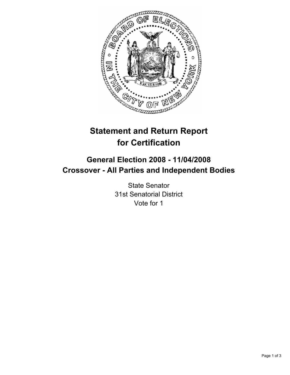

# **Statement and Return Report for Certification**

## **General Election 2008 - 11/04/2008 Crossover - All Parties and Independent Bodies**

State Senator 31st Senatorial District Vote for 1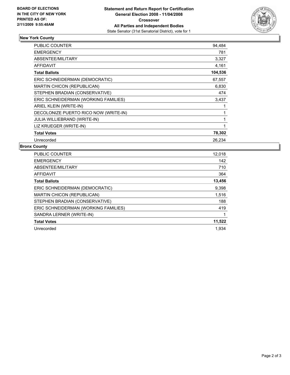

## **New York County**

| <b>PUBLIC COUNTER</b>                 | 94,484  |
|---------------------------------------|---------|
| <b>EMERGENCY</b>                      | 781     |
| ABSENTEE/MILITARY                     | 3,327   |
| <b>AFFIDAVIT</b>                      | 4,161   |
| <b>Total Ballots</b>                  | 104,536 |
| ERIC SCHNEIDERMAN (DEMOCRATIC)        | 67,557  |
| <b>MARTIN CHICON (REPUBLICAN)</b>     | 6,830   |
| STEPHEN BRADIAN (CONSERVATIVE)        | 474     |
| ERIC SCHNEIDERMAN (WORKING FAMILIES)  | 3,437   |
| ARIEL KLEIN (WRITE-IN)                |         |
| DECOLONIZE PUERTO RICO NOW (WRITE-IN) |         |
| <b>JULIA WILLIEBRAND (WRITE-IN)</b>   |         |
| LIZ KRUEGER (WRITE-IN)                |         |
| <b>Total Votes</b>                    | 78,302  |
| Unrecorded                            | 26,234  |

### **Bronx County**

| <b>PUBLIC COUNTER</b>                | 12,018 |
|--------------------------------------|--------|
| <b>EMERGENCY</b>                     | 142    |
| ABSENTEE/MILITARY                    | 710    |
| AFFIDAVIT                            | 364    |
| <b>Total Ballots</b>                 | 13,456 |
| ERIC SCHNEIDERMAN (DEMOCRATIC)       | 9,398  |
| <b>MARTIN CHICON (REPUBLICAN)</b>    | 1,516  |
| STEPHEN BRADIAN (CONSERVATIVE)       | 188    |
| ERIC SCHNEIDERMAN (WORKING FAMILIES) | 419    |
| SANDRA LERNER (WRITE-IN)             |        |
| <b>Total Votes</b>                   | 11,522 |
| Unrecorded                           | 1.934  |